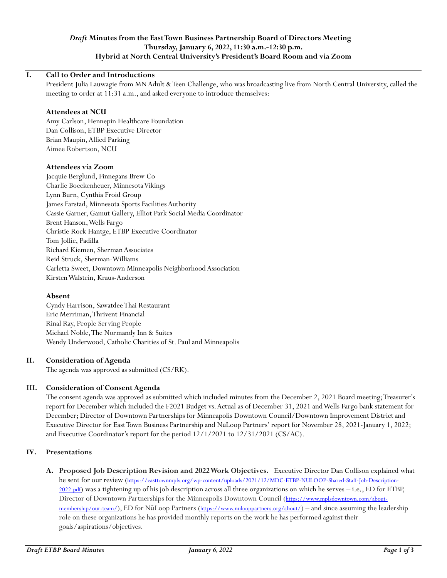# *Draft* **Minutes from the East Town Business Partnership Board of Directors Meeting Thursday, January 6, 2022, 11:30 a.m.-12:30 p.m. Hybrid at North Central University's President's Board Room and via Zoom**

## **I. Call to Order and Introductions**

President Julia Lauwagie from MN Adult & Teen Challenge, who was broadcasting live from North Central University, called the meeting to order at 11:31 a.m., and asked everyone to introduce themselves:

## **Attendees at NCU**

Amy Carlson, Hennepin Healthcare Foundation Dan Collison, ETBP Executive Director Brian Maupin, Allied Parking Aimee Robertson, NCU

#### **Attendees via Zoom**

Jacquie Berglund, Finnegans Brew Co Charlie Boeckenheuer, Minnesota Vikings Lynn Burn, Cynthia Froid Group James Farstad, Minnesota Sports Facilities Authority Cassie Garner, Gamut Gallery, Elliot Park Social Media Coordinator Brent Hanson,Wells Fargo Christie Rock Hantge, ETBP Executive Coordinator Tom Jollie, Padilla Richard Kiemen, Sherman Associates Reid Struck, Sherman-Williams Carletta Sweet, Downtown Minneapolis Neighborhood Association Kirsten Walstein, Kraus-Anderson

#### **Absent**

Cyndy Harrison, Sawatdee Thai Restaurant Eric Merriman, Thrivent Financial Rinal Ray, People Serving People Michael Noble,The Normandy Inn & Suites Wendy Underwood, Catholic Charities of St. Paul and Minneapolis

#### **II. Consideration of Agenda**

The agenda was approved as submitted (CS/RK).

#### **III. Consideration of Consent Agenda**

The consent agenda was approved as submitted which included minutes from the December 2, 2021 Board meeting; Treasurer's report for December which included the F2021 Budget vs. Actual as of December 31, 2021 and Wells Fargo bank statement for December; Director of Downtown Partnerships for Minneapolis Downtown Council/Downtown Improvement District and Executive Director for East Town Business Partnership and NūLoop Partners' report for November 28, 2021-January 1, 2022; and Executive Coordinator's report for the period 12/1/2021 to 12/31/2021 (CS/AC).

#### **IV. Presentations**

**A. Proposed Job Description Revision and 2022Work Objectives.** Executive Director Dan Collison explained what he sent for our review ([https://easttownmpls.org/wp-content/uploads/2021/12/MDC-ETBP-NULOOP-Shared-Staff-Job-Description-](https://easttownmpls.org/wp-content/uploads/2021/12/MDC-ETBP-NULOOP-Shared-Staff-Job-Description-2022.pdf)[2022.pdf](https://easttownmpls.org/wp-content/uploads/2021/12/MDC-ETBP-NULOOP-Shared-Staff-Job-Description-2022.pdf)) was a tightening up of his job description across all three organizations on which he serves - i.e., ED for ETBP, Director of Downtown Partnerships for the Minneapolis Downtown Council ([https://www.mplsdowntown.com/about](https://www.mplsdowntown.com/about-membership/our-team/)[membership/our-team/](https://www.mplsdowntown.com/about-membership/our-team/)), ED for NūLoop Partners (<https://www.nulooppartners.org/about/>) – and since assuming the leadership role on these organizations he has provided monthly reports on the work he has performed against their goals/aspirations/objectives.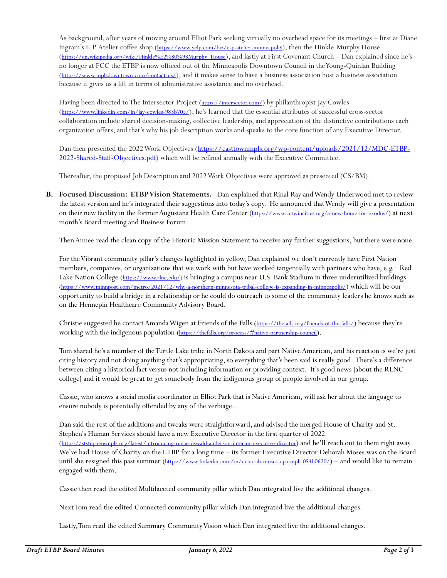As background, after years of moving around Elliot Park seeking virtually no overhead space for its meetings – first at Diane Ingram's E.P. Atelier coffee shop ([https://www.yelp.com/biz/e-p-atelier-minneapoli](https://www.yelp.com/biz/e-p-atelier-minneapolis)[s\)](https://www.yelp.com/biz/e-p-atelier-minneapolis), then the Hinkle-Murphy House ([https://en.wikipedia.org/wiki/Hinkle%E2%80%93Murphy\\_House](https://en.wikipedia.org/wiki/Hinkle%E2%80%93Murphy_House)), and lastly at First Covenant Church – Dan explained since he's no longer at FCC the ETBP is now officed out of the Minneapolis Downtown Council in the Young-Quinlan Building (<https://www.mplsdowntown.com/contact-us/>), and it makes sense to have a business association host a business association because it gives us a lift in terms of administrative assistance and no overhead.

Having been directed to The Intersector Project (*<https://intersector.com/>*) by philanthropist Jay Cowles (<https://www.linkedin.com/in/jay-cowles-983b705/>), he's learned that the essential attributes of successful cross-sector collaboration include shared decision-making, collective leadership, and appreciation of the distinctive contributions each organization offers,and that's why his job description works and speaks to the core function of any Executive Director.

Dan then presented the 2022 Work Objectives [\(https://easttownmpls.org/wp-content/uploads/2021/12/MDC-ETBP-](https://easttownmpls.org/wp-content/uploads/2021/12/MDC-ETBP-2022-Shared-Staff-Objectives.pdf)[2022-Shared-Staff-Objectives.pdf\)](https://easttownmpls.org/wp-content/uploads/2021/12/MDC-ETBP-2022-Shared-Staff-Objectives.pdf) which will be refined annually with the Executive Committee.

Thereafter, the proposed Job Description and 2022 Work Objectives were approved as presented (CS/BM).

**B. Focused Discussion: ETBP Vision Statements.** Dan explained that Rinal Ray and Wendy Underwood met to review the latest version and he's integrated their suggestions into today's copy. He announced that Wendy will give a presentation on their new facility in the former Augustana Health Care Center (<https://www.cctwincities.org/a-new-home-for-exodus/>) at next month's Board meeting and Business Forum.

Then Aimee read the clean copy of the Historic Mission Statement to receive any further suggestions, but there were none.

For the Vibrant community pillar's changes highlighted in yellow, Dan explained we don't currently have First Nation members, companies, or organizations that we work with but have worked tangentially with partners who have, e.g.: Red Lake Nation College ([https://www.rlnc.edu/\)](https://www.rlnc.edu/) is bringing a campus near U.S. Bank Stadium in three underutilized buildings [\(https://www.minnpost.com/metro/2021/12/why-a-northern-minnesota-tribal-college-is-expanding-in-minneapolis/](https://www.minnpost.com/metro/2021/12/why-a-northern-minnesota-tribal-college-is-expanding-in-minneapolis/)) which will be our opportunity to build a bridge in a relationship or he could do outreach to some of the community leaders he knows such as on the Hennepin Healthcare Community Advisory Board.

Christie suggested he contact Amanda Wigen at Friends of the Falls (<https://thefalls.org/friends-of-the-falls/>) because they're working with the indigenous population (<https://thefalls.org/process/#native-partnership-council>).

Tom shared he's a member of the Turtle Lake tribe in North Dakota and part Native American, and his reaction is we're just citing history and not doing anything that's appropriating, so everything that's been said is really good. There's a difference between citing a historical fact versus not including information or providing context. It's good news [about the RLNC college] and it would be great to get somebody from the indigenous group of people involved in our group.

Cassie, who knows a social media coordinator in Elliot Park that is Native American, will ask her about the language to ensure nobody is potentially offended by any of the verbiage.

Dan said the rest of the additions and tweaks were straightforward, and advised the merged House of Charity and St. Stephen's Human Services should have a new Executive Director in the first quarter of 2022 (<https://ststephensmpls.org/latest/introducing-renae-oswald-anderson-interim-executive-director>) and he'll reach out to them right away. We've had House of Charity on the ETBP for a long time – its former Executive Director Deborah Moses was on the Board until she resigned this past summer (<https://www.linkedin.com/in/deborah-moses-dpa-mph-054b0620/>) – and would like to remain engaged with them.

Cassie then read the edited Multifaceted community pillar which Dan integrated live the additional changes.

Next Tom read the edited Connected community pillar which Dan integrated live the additional changes.

Lastly, Tom read the edited Summary Community Vision which Dan integrated live the additional changes.